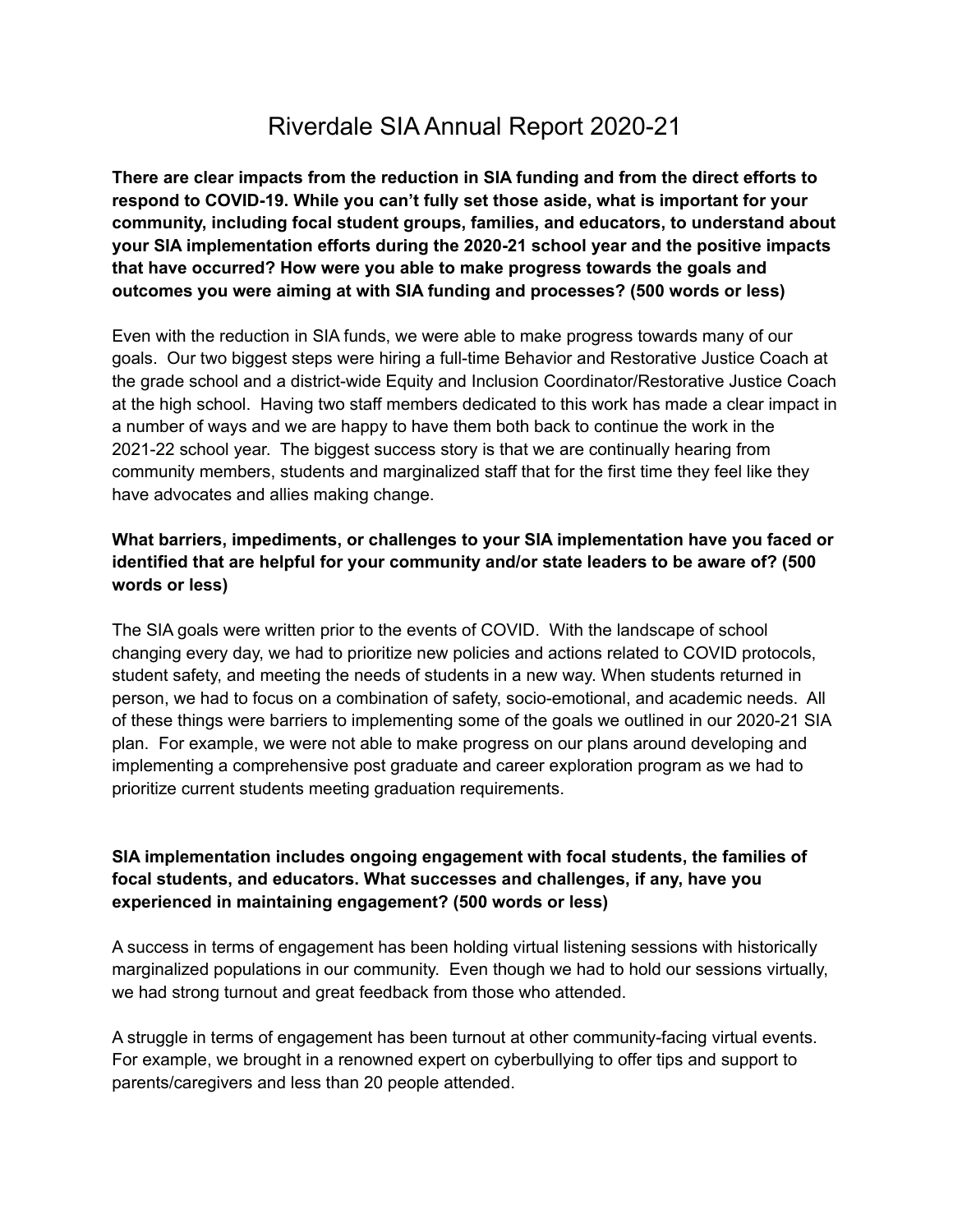## Riverdale SIA Annual Report 2020-21

**There are clear impacts from the reduction in SIA funding and from the direct efforts to respond to COVID-19. While you can't fully set those aside, what is important for your community, including focal student groups, families, and educators, to understand about your SIA implementation efforts during the 2020-21 school year and the positive impacts that have occurred? How were you able to make progress towards the goals and outcomes you were aiming at with SIA funding and processes? (500 words or less)**

Even with the reduction in SIA funds, we were able to make progress towards many of our goals. Our two biggest steps were hiring a full-time Behavior and Restorative Justice Coach at the grade school and a district-wide Equity and Inclusion Coordinator/Restorative Justice Coach at the high school. Having two staff members dedicated to this work has made a clear impact in a number of ways and we are happy to have them both back to continue the work in the 2021-22 school year. The biggest success story is that we are continually hearing from community members, students and marginalized staff that for the first time they feel like they have advocates and allies making change.

## **What barriers, impediments, or challenges to your SIA implementation have you faced or identified that are helpful for your community and/or state leaders to be aware of? (500 words or less)**

The SIA goals were written prior to the events of COVID. With the landscape of school changing every day, we had to prioritize new policies and actions related to COVID protocols, student safety, and meeting the needs of students in a new way. When students returned in person, we had to focus on a combination of safety, socio-emotional, and academic needs. All of these things were barriers to implementing some of the goals we outlined in our 2020-21 SIA plan. For example, we were not able to make progress on our plans around developing and implementing a comprehensive post graduate and career exploration program as we had to prioritize current students meeting graduation requirements.

## **SIA implementation includes ongoing engagement with focal students, the families of focal students, and educators. What successes and challenges, if any, have you experienced in maintaining engagement? (500 words or less)**

A success in terms of engagement has been holding virtual listening sessions with historically marginalized populations in our community. Even though we had to hold our sessions virtually, we had strong turnout and great feedback from those who attended.

A struggle in terms of engagement has been turnout at other community-facing virtual events. For example, we brought in a renowned expert on cyberbullying to offer tips and support to parents/caregivers and less than 20 people attended.